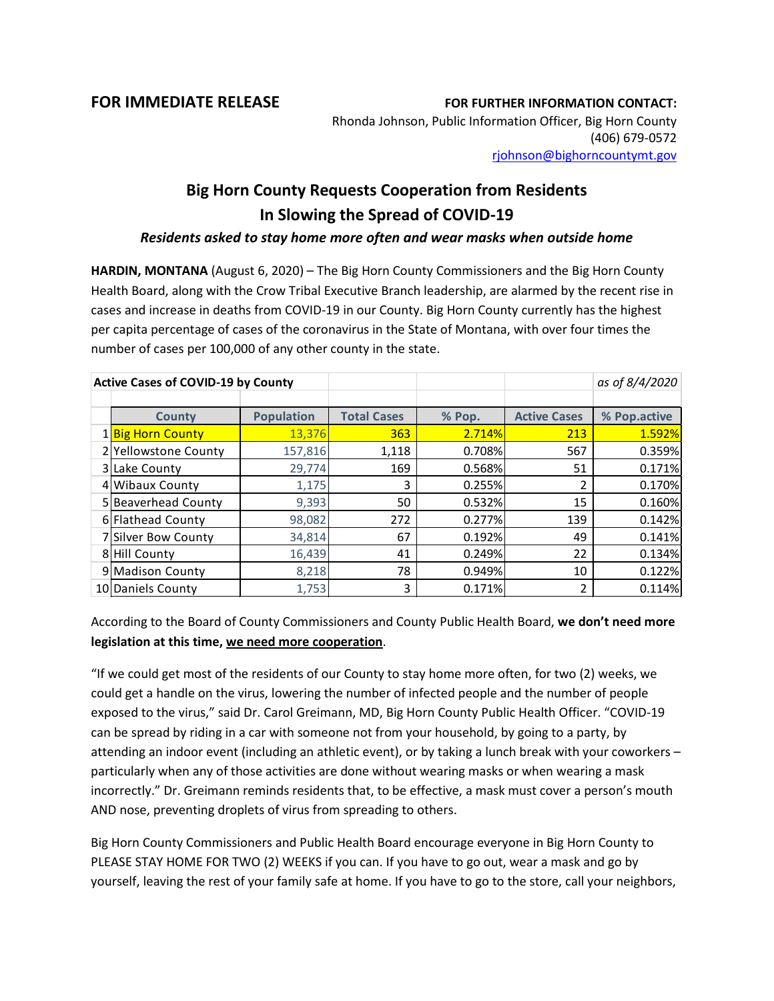**FOR IMMEDIATE RELEASE FOR FURTHER INFORMATION CONTACT:**

Rhonda Johnson, Public Information Officer, Big Horn County (406) 679-0572 [rjohnson@bighorncountymt.gov](mailto:rjohnson@bighorncountymt.gov)

## **Big Horn County Requests Cooperation from Residents In Slowing the Spread of COVID-19**

## *Residents asked to stay home more often and wear masks when outside home*

**HARDIN, MONTANA** (August 6, 2020) – The Big Horn County Commissioners and the Big Horn County Health Board, along with the Crow Tribal Executive Branch leadership, are alarmed by the recent rise in cases and increase in deaths from COVID-19 in our County. Big Horn County currently has the highest per capita percentage of cases of the coronavirus in the State of Montana, with over four times the number of cases per 100,000 of any other county in the state.

| <b>Active Cases of COVID-19 by County</b> |                      |                   |                    |        |                     | as of 8/4/2020 |
|-------------------------------------------|----------------------|-------------------|--------------------|--------|---------------------|----------------|
|                                           |                      |                   |                    |        |                     |                |
|                                           | <b>County</b>        | <b>Population</b> | <b>Total Cases</b> | % Pop. | <b>Active Cases</b> | % Pop.active   |
|                                           | 1 Big Horn County    | 13,376            | 363                | 2.714% | 213                 | 1.592%         |
|                                           | 2 Yellowstone County | 157,816           | 1,118              | 0.708% | 567                 | 0.359%         |
|                                           | 3 Lake County        | 29,774            | 169                | 0.568% | 51                  | 0.171%         |
|                                           | 4 Wibaux County      | 1,175             | 3                  | 0.255% | 2                   | 0.170%         |
|                                           | 5 Beaverhead County  | 9,393             | 50                 | 0.532% | 15                  | 0.160%         |
|                                           | 6 Flathead County    | 98,082            | 272                | 0.277% | 139                 | 0.142%         |
|                                           | 7 Silver Bow County  | 34,814            | 67                 | 0.192% | 49                  | 0.141%         |
|                                           | 8 Hill County        | 16,439            | 41                 | 0.249% | 22                  | 0.134%         |
|                                           | 9 Madison County     | 8,218             | 78                 | 0.949% | 10                  | 0.122%         |
|                                           | 10 Daniels County    | 1,753             | 3                  | 0.171% | 2                   | 0.114%         |

According to the Board of County Commissioners and County Public Health Board, **we don't need more legislation at this time, we need more cooperation**.

"If we could get most of the residents of our County to stay home more often, for two (2) weeks, we could get a handle on the virus, lowering the number of infected people and the number of people exposed to the virus," said Dr. Carol Greimann, MD, Big Horn County Public Health Officer. "COVID-19 can be spread by riding in a car with someone not from your household, by going to a party, by attending an indoor event (including an athletic event), or by taking a lunch break with your coworkers – particularly when any of those activities are done without wearing masks or when wearing a mask incorrectly." Dr. Greimann reminds residents that, to be effective, a mask must cover a person's mouth AND nose, preventing droplets of virus from spreading to others.

Big Horn County Commissioners and Public Health Board encourage everyone in Big Horn County to PLEASE STAY HOME FOR TWO (2) WEEKS if you can. If you have to go out, wear a mask and go by yourself, leaving the rest of your family safe at home. If you have to go to the store, call your neighbors,